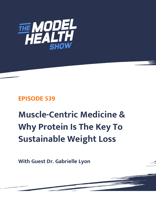

## **EPISODE 539**

# **Muscle-Centric Medicine & Why Protein Is The Key To Sustainable Weight Loss**

**With Guest Dr. Gabrielle Lyon**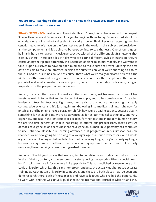### **You are now listening to The Model Health Show with Shawn Stevenson. For more, visit themodelhealthshow.com.**

**SHAWN STEVENSON:** Welcome to The Model Health Show, this is fitness and nutrition expert Shawn Stevenson and I'm so grateful for you tuning in with me today, I'm so excited about this episode. We're going to be talking about a rapidly growing field of science, targeting musclecentric medicine. We have on the foremost expert in the world, in this subject, to break down all the components, and it's going to be eye-opening, to say the least. One of our biggest hallmarks here is to have an inclusive perspective with all of the different diet frameworks that exist out there. There are a lot of folks who are eating different styles of nutrition, they're constructing their plates differently in a spectrum of plant to animal models, and we want to take it upon ourselves to have an open mind and to make sure that we're utilizing the best data possible to make an informed decision for ourselves on what we're choosing to eat, to fuel our bodies, our minds on. And of course, that's what we're really dedicated here with The Model Health Show and being a model for ourselves and for other people and the human potential, and what's possible for us as a species, and also just in our day-to-day lives, being an inspiration for the people that we care about.

And so, this is another reason I'm really excited about our guest because that is one of her tenets as well, is to be that model, to be that example, and to be somebody who's leading leaders and teaching teachers. Right now, she's really hard at work at integrating this really cutting-edge science and it's just, again, mind-blowing into medical training right now for physicians and helping to make a paradigm shift in how we're treating patients because clearly, something is not adding up. We're so advanced as far as our medical technology, and yet... Right now, and just in the last couple of decades, for the first time in modern human history, we are the first generation that is not going to outlive our predecessors, that's right. As decades have gone on and centuries that have gone on, human life expectancy has continued to rise until now. Despite our seeming advances, that progression in our lifespan has now reversed, we're now going to be dying at a younger age than our predecessors. And I would argue that even leading up to this, folks have not been living longer, they've been dying longer because our system of healthcare has been about symptoms treatment and not actually removing the underlying causes of our greatest diseases.

And one of the biggest causes that we're going to be talking about today has to do with our intake of dietary protein, and I mentioned this study during the episode with our special guest, but I'm going to share it for you here in its specificity. This was published by researchers at St. Louis University, which is... This is my hometown, and also, she actually got her post-doctorate training at Washington University in Saint Louis, and these are both places that I've been and done research there. Both of these places and have colleagues who I've had the opportunity [to work with, and this was actually published in the International Journal of Obesity, and they](https://themodelhealthshow.com/podcasts/dr-gabrielle-lyon/) 

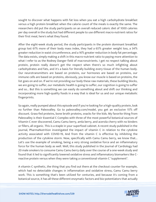sought to discover what happens with fat loss when you eat a high carbohydrate breakfast versus a high protein breakfast when the calorie count of the meals is exactly the same. The researchers did put the study participants on an overall reduced caloric diet of 1000 calories per day overall in the study but had different people to use different macro-nutrient ratios for their first meal, here's what they found.

After the eight-week study period, the study participants in the protein dominant breakfast group lost 61% more of their body mass index, they had a 65% greater weight loss, a 34% greater reduction in waist circumference, and a 16% greater reduction in body fat percentage. The data exists, simply making a shift in this macro-nutrient ratio to paying more attention to what I refer to as the Rodney Danger field of macronutrients. I get no respect talking about protein, protein really doesn't get the respect when there's so much infighting about carbohydrates and fats, and it's a basis for literally building every tissue of the human body. Our neurotransmitters are based on proteins, our hormones are based on proteins, our immune cells are based on proteins, obviously, you know our muscle is based on proteins, the list goes on and on. If we're not providing our body these raw materials, these building blocks, we are going to suffer, our metabolic health is going to suffer, our cognition is going to suffer and so... But this is something we can easily do something about and shift our thinking and incorporating more high-quality foods in a way that is ideal for us and our unique metabolic fingerprints.

So again, really pumped about this episode and if you're looking for a high-quality protein, look no further than Paleovalley. Go to paleovalley.com/model, you get an exclusive 15% off discount. Grass-fed proteins, bone broth proteins, snacks for the kids. My favorite thing from Paleovalley is their Essential C Complex with three of the most powerful botanical sources of Vitamin C ever discovered, Camu Camu berry, amla berry, and acerola cherry with no binders or fillers, all organic. This is a staple in your superfood cabinet. A recent study published in the journal, PharmaNutrition investigated the impact of vitamin C in relation to the cytokine activity associated with COVID-19, And from the vitamin C is effective by inhibiting the production of the cytokine storm. Now, specifically with Camu Camu berry, we know that... Let's use the example of smoking, being a very strong oxidative force and an inflammatory force for the human body as well. Well, this study published in the Journal of Cardiology had 20 male smokers to consume Camu Camu berry daily over the course of a one-week study and found that it led to significantly lowered oxidative stress and inflammatory biomarkers like Creactive protein versus when they were taking a conventional vitamin C "supplement".

A vitamin C synthetic, the thing that you find out there at the checkout counter for example, which had no detectable changes in inflammation and oxidative stress, Camu Camu berry work. This is something that's been utilized for centuries, and because it's coming from a botanical source, it has all these different enzymatic factors and bio-potentiators that actually

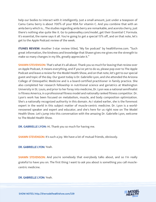help our bodies to interact with it intelligently. Just a small amount, just under a teaspoon of Camu Camu berry is about 700% of your RDA for vitamin C. And you combine that with an amla berry which is... The studies regarding amla berry are remarkable, and acerola cherry, just there's nothing else quite like it. Go to paleovalley.com/model, get their Essential C Formula. It's essential, the name says it all. You're going to get a special 15% off, and on that note, let's get to the Apple Podcast review of the week.

**ITUNES REVIEW:** Another 5-star review titled, "My fav podcast" by healthforme.com. "Such great information, the kindness and knowledge that Shawn gives me gives me the strength to make so many changes in my life, greatly appreciate it."

**SHAWN STEVENSON:** That's what it's all about. Thank you so much for leaving that review over on Apple Podcast, it means everything, and if you've yet to do so, please pop over to The Apple Podcast and leave a review for the Model Health Show, and on that note, let's get to our special guest and topic of the day. Our guest today is Dr. Gabrielle Lyon, and she attended the Arizona College of Osteopathic Medicine and is a board-certified practitioner in family practice. She also completed her research fellowship in nutritional science and geriatrics at Washington University in St. Louis, and prior to her foray into medicine, Dr. Lyon was a national semifinalist in fitness America, in a professional fitness model and nationally ranked fitness competitor. Dr. Lyon's work has been focused on metabolism, muscle, and body composition optimization. She's a nationally recognized authority in this domain. As I stated earlier, she is the foremost expert in the world in this subject matter of muscle-centric medicine. Dr. Lyon is a worldrenowned speaker and expert and educator, and she's here for us right now on The Model Health Show. Let's jump into this conversation with the amazing Dr. Gabrielle Lyon, welcome to The Model Health Show.

**DR. GABRIELLE LYON:** Hi. Thank you so much for having me.

**SHAWN STEVENSON:** It's such a joy. We have a lot of mutual friends, obviously.

DR. GABRIELLE LYON: Yeah.

SHAWN STEVENSON: And you're somebody that everybody talks about, and so I'm really grateful to have you on. The first thing I want to ask you about is something you call musclecentric medicine.

#### DR. GABRIELLE LYON: Yeah.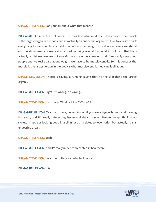**SHAWN STEVENSON:** Can you talk about what that means?

DR. GABRIELLE LYON: Yeah, of course. So, muscle-centric medicine is the concept that muscle is the largest organ in the body and it's actually an endocrine organ. So, if we take a step back, everything focuses on obesity right now. We are overweight, it is all about losing weight, all our metabolic markers are really focused on being overfat but what if I told you that that's actually a mistake. We are not over-fat, we are under-muscled, and if we really care about people and we really care about weight, we have to be muscle-centric. So, this concept that muscle is the largest organ in the body is what muscle-centric medicine is all about.

SHAWN STEVENSON: There's a saying, a running saying that it's the skin that's the largest organ...

DR. GABRIELLE LYON: Right, it's wrong, it's wrong.

SHAWN STEVENSON: It's muscle. What is it like? 30%, 40%.

DR. GABRIELLE LYON: Yeah, of course, depending on if you are a bigger human and training, but yeah, and it's really interesting because skeletal muscle... People always think about skeletal muscle as looking good in a bikini or as it relates to locomotion but actually, it is an endocrine organ.

SHAWN STEVENSON: Yeah.

DR. GABRIELLE LYON: And it's really under-represented in healthcare.

**SHAWN STEVENSON:** So, if that is the case, which of course it is...

DR. GABRIELLE LYON: It is.

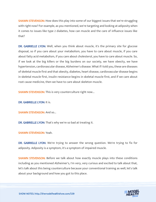**SHAWN STEVENSON:** How does this play into some of our biggest issues that we're struggling with right now? For example, as you mentioned, we're targeting and looking at adiposity when it comes to issues like type 2 diabetes, how can muscle and the care of influence issues like that?

DR. GABRIELLE LYON: Well, when you think about muscle, it's the primary site for glucose disposal, so if you care about your metabolism, you have to care about muscle, if you care about fatty acid metabolism, if you care about cholesterol, you have to care about muscle. So, if we look at the big killers or the big burdens on our society, we have obesity, we have hypertension, cardiovascular disease, Alzheimer's disease. What if I told you, these are diseases of skeletal muscle first and that obesity, diabetes, heart disease, cardiovascular disease begins in skeletal muscle first, insulin resistance begins in skeletal muscle first, and if we care about root cause medicine, then we have to care about skeleton muscle.

**SHAWN STEVENSON:** This is very counterculture right now...

DR. GABRIELLE LYON: It is.

**SHAWN STEVENSON: And so...** 

DR. GABRIELLE LYON: That's why we're so bad at treating it.

#### SHAWN STEVENSON: Yeah.

DR. GABRIELLE LYON: We're trying to answer the wrong question. We're trying to fix for adiposity. Adiposity is a symptom, it's a symptom of impaired muscle.

**SHAWN STEVENSON:** Before we talk about how exactly muscle plays into these conditions including as you mentioned Alzheimer's, I'm very, very curious and excited to talk about that, let's talk about this being counterculture because your conventional training as well, let's talk about your background and how you got to this place.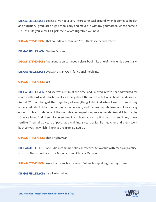DR. GABRIELLE LYON: Yeah, so I've had a very interesting background when it comes to health and nutrition. I graduated high school early and moved in with my godmother, whose name is Liz Lipski. Do you know Liz Lipski? She wrote Digestive Wellness.

SHAWN STEVENSON: That sounds very familiar. Yes, I think she even wrote a...

DR. GABRIELLE LYON: Children's book.

**SHAWN STEVENSON:** And a quote on somebody else's book, like one of my friends potentially.

DR. GABRIELLE LYON: Okay. She is an OG in functional medicine.

#### SHAWN STEVENSON: Yes.

DR. GABRIELLE LYON: And she was a Ph.D. at the time, and I moved in with her and worked for room and board, and I started really learning about the role of nutrition in health and disease. And at 17, that changed the trajectory of everything I did. And when I went to go do my undergraduate, I did in human nutrition, vitamin, and mineral metabolism, and I was lucky enough to train under one of the world-leading experts in protein metabolism, still to this day 20 years later. And then, of course, medical school, almost quit at least three times, it was terrible. Then I did 2 years of psychiatry training, 3 years of family medicine, and then I went back to Wash U, which I know you're from St. Louis...

SHAWN STEVENSON: That's right, yeah.

DR. GABRIELLE LYON: And I did a combined clinical research fellowship with medical practice, so it was Nutritional Sciences, Geriatrics, and Obesity Medicine.

**SHAWN STEVENSON:** Wow, that is such a diverse... But each step along the way, there's...

DR. GABRIELLE LYON: It's all intertwined.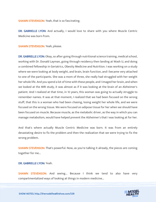SHAWN STEVENSON: Yeah, that is so fascinating.

DR. GABRIELLE LYON: And actually, I would love to share with you where Muscle Centric Medicine was born from.

SHAWN STEVENSON: Yeah, please.

DR. GABRIELLE LYON: Okay, so after going through nutritional science training, medical school, working with Dr. Donald Layman, going through residency then landing at Wash U, and doing a combined fellowship in Geriatrics, Obesity Medicine and Nutrition. I was working on a study where we were looking at body weight, and brain, brain function, and I became very attached to one of the participants. She was a mom of three, she really had struggled with her weight her whole life. And you spend a lot of time with these people, and I imaged her brain, and when we looked at the MRI study, it was almost as if it was looking at the brain of an Alzheimer's patient. And I realized at that time, in 10 years, this woman was going to actually struggle to remember names. It was at that moment, I realized that we had been focused on the wrong stuff, that this is a woman who had been chasing, losing weight her whole life, and we were focused on the wrong tissue. We were focused on adipose tissue for her when we should have been focused on muscle. Because muscle, as the metabolic driver, as the way in which you can manage metabolism, would have helped prevent the Alzheimer's that I was looking at for her.

And that's where actually Muscle Centric Medicine was born. It was from an entirely devastating desire to fix the problem and then the realization that we were trying to fix the wrong problem.

**SHAWN STEVENSON:** That's powerful. Now, as you're talking it already, the pieces are coming together for me...

#### DR. GABRIELLE LYON: Yeah.

SHAWN STEVENSON: And seeing... Because I think we tend to also have very compartmentalized ways of looking at things in modern medicine...

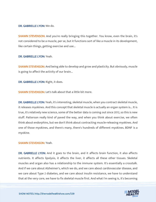#### DR. GABRIELLE LYON: We do.

**SHAWN STEVENSON:** And you're really bringing this together. You know, even the brain, it's not considered to be a muscle, per se, but it functions sort of like a muscle in its development, like certain things, getting exercise and use...

#### DR. GABRIELLE LYON: Yeah.

**SHAWN STEVENSON:** And being able to develop and grow and plasticity. But obviously, muscle is going to affect the activity of our brain...

DR. GABRIELLE LYON: Right, it does.

SHAWN STEVENSON: Let's talk about that a little bit more.

DR. GABRIELLE LYON: Yeah, it's interesting, skeletal muscle, when you contract skeletal muscle, it releases myokines. And this concept that skeletal muscle is actually an organ system is... It is true, it's relatively new science, some of the better data is coming out since 2012, so this is new stuff. Patterson really kind of paved the way, and when you think about exercise, we often think about endorphins, but we don't think about contracting muscle-releasing myokines. And one of those myokines, and there's many, there's hundreds of different myokines. BDNF is a myokine.

#### SHAWN STEVENSON: Yeah.

DR. GABRIELLE LYON: And it goes to the brain, and it affects brain function, it also affects nutrients. It affects lipolysis, it affects the liver, it affects all these other tissues. Skeletal muscles and organ also has a relationship to the immune system. It's essentially a crosstalk. And if we care about Alzheimer's, which we do, and we care about cardiovascular disease, and we care about Type 2 diabetes, and we care about insulin resistance, we have to understand that at the very core, we have to fix skeletal muscle first. And what I'm seeing is, it's becoming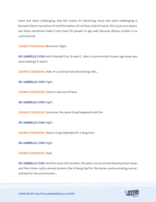more and more challenging. And the reason it's becoming more and more challenging is because there's narratives of misinformation of nutrition. And of course, this is just one aspect, but these narratives make it very hard for people to age well, because dietary protein is so controversial.

SHAWN STEVENSON: Mm-hmm. Right.

DR. GABRIELLE LYON: And it shouldn't be. It wasn't... Was it controversial 10 years ago when you were looking? It wasn't.

SHAWN STEVENSON: Yeah. It's so funny how these things like...

DR. GABRIELLE LYON: Right.

SHAWN STEVENSON: Come in and out of favor.

DR. GABRIELLE LYON: Right.

**SHAWN STEVENSON:** You know, the same thing happened with fat.

DR. GABRIELLE LYON: Right.

SHAWN STEVENSON: There's a big fatphobia for a long time.

DR. GABRIELLE LYON: Right.

SHAWN STEVENSON: Yeah.

DR. GABRIELLE LYON: And this issue with protein, this plant versus animal-based protein issue, and then these myths around protein, like it being bad for the bones, and promoting cancer, and bad for the environment...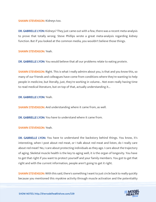#### SHAWN STEVENSON: Kidneys too.

DR. GABRIELLE LYON: Kidneys? They just came out with a few, there was a recent meta-analysis to prove that totally wrong. Steve Phillips wrote a great meta-analysis regarding kidney function. But if you looked at the common media, you wouldn't believe those things.

#### SHAWN STEVENSON: Yeah.

DR. GABRIELLE LYON: You would believe that all our problems relate to eating protein.

**SHAWN STEVENSON:** Right. This is what I really admire about you, is that and you know this, so many of our friends and colleagues have come from conditions where they're wanting to help people in medicine, but literally, just, they're working in volume... Not even really having time to read medical literature, but on top of that, actually understanding it...

DR. GABRIELLE LYON: Yeah.

**SHAWN STEVENSON:** And understanding where it came from, as well.

DR. GABRIELLE LYON: You have to understand where it came from.

#### SHAWN STEVENSON: Yeah.

DR. GABRIELLE LYON: You have to understand the backstory behind things. You know, it's interesting, when I post about red meat, or I talk about red meat and listen, do I really care about red meat? No, I care about protecting individuals as they age. I care about the trajectory of aging. Skeletal muscle health is the key to aging well, it is the organ of longevity. You have to get that right if you want to protect yourself and your family members. You got to get that right and with the current information, people aren't going to get it right.

**SHAWN STEVENSON:** With this said, there's something I want to just circle back to really quickly because you mentioned this myokine activity through muscle activation and the potentiality

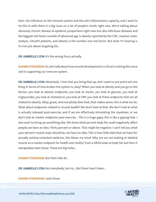here, the influence on the immune system and the anti-inflammatory capacity, and I want to tie this in with there is a big issue on a lot of people's minds right now. We're talking about obviously chronic disease at epidemic proportions right now but also infectious diseases and the biggest risk factor outside of advanced age is obesity reported by the CDC, massive metaanalysis, 540,000 patients, and obesity is the number one risk factor. But what I'm hearing is it's not just about targeting fat...

DR. GABRIELLE LYON: It's the wrong focus actually.

**SHAWN STEVENSON:** So, let's talk about how muscle development is critical in solving this issue and in supporting our immune system.

DR. GABRIELLE LYON: Absolutely. I love that you bring that up, and I want to just point out one thing in terms of how broken the system is, okay? When you look at obesity and you go to the doctor, you look at obesity endpoints; you look at insulin, you look at glucose, you look at triglycerides, you look at cholesterol, you look at CRP, you look at these endpoints that are all related to obesity. Okay, great, and everybody does that, that makes sense, this is what we do. What about endpoints related to muscle health? We don't look at that. We don't look at what is actually released post-exercise, and if we are effectively stimulating the myokines, or we don't look at marker endpoints post-exercise... This is a huge gape; this is like a gaping hole. I also want to bring up something else. We know what percent body fat could negatively affect people; we have an idea. Thirty percent or above. That might be negative. I can't tell you what your percent muscle mass should be, we have no idea. This is how little data that we have for actually solution-oriented medicine, this blows my mind. Why are we not looking at skeletal muscle as a marker endpoint for health and vitality? Even a DEXA looks at body fat and then it extrapolates lean tissue. These are big holes...

**SHAWN STEVENSON: But that's like all...** 

DR. GABRIELLE LYON: But everybody, but no... But there hasn't been...

**SHAWN STEVENSON: Lean tissue.** 

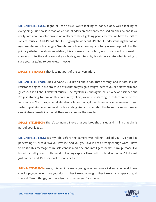DR. GABRIELLE LYON: Right, all lean tissue. We're looking at bone, blood, we're looking at everything. But how is it that we've had blinders on constantly focused on obesity, and if we really care about a solution and we really care about getting people better, we have to shift to skeletal muscle? And it's not about just going to work out, it's about understanding that as we age, skeletal muscle changes. Skeletal muscle is a primary site for glucose disposal, it is the primary site for metabolic regulation, it is a primary site for fatty acid oxidation. If you want to survive an infectious disease and your body goes into a highly catabolic state, what is going to save you, it's going to be skeletal muscle.

**SHAWN STEVENSON:** That is so not part of the conversation.

DR. GABRIELLE LYON: But everyone... But it's all about fat. That's wrong, and in fact, insulin resistance begins in skeletal muscle first before you gain weight, before you see elevated blood glucose, it is all about skeletal muscle. The myokines... And again, this is a newer science and I'm just starting to look at this data in my clinic, we're just starting to collect some of this information. Myokines, when skeletal muscle contracts, it has this interface between all organ systems just like hormones and it's fascinating. And if we can shift the focus to a more musclecentric-based medicine model, then we can move the needle.

**SHAWN STEVENSON:** There's so many... I love that you brought this up and I think that this is part of your legacy.

DR. GABRIELLE LYON: It's my job. Before the camera was rolling, I asked you, "Do you like podcasting?" Or I said, "Do you love it?" And you go, "Love is not a strong enough word. I have to do it." This message of muscle-centric medicine and intelligent health is my purpose. I've been trained by some of the world's leading experts. How did I just land in that lab? It doesn't just happen and it's a personal responsibility to do it.

**SHAWN STEVENSON:** Yeah, this reminds me of going in when I was a kid and you do all these check-ups, you go in to see your doctor, they take your weight, they take your temperature, all these different things, but there isn't an assessment for muscle.

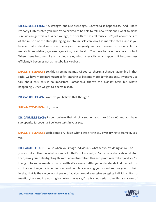DR. GABRIELLE LYON: No, strength, and also as we age... So, what also happens as... And I know, I'm sorry I interrupted you, but I'm so excited to be able to talk about this and I want to make sure we can get this out. When we age, the health of skeletal muscle isn't just about the size of the muscle or the strength, aging skeletal muscle can look like marbled steak, and if you believe that skeletal muscle is the organ of longevity and you believe it's responsible for metabolic regulation, glucose regulation, brain health. You have to have metabolic control. When tissue becomes like a marbled steak, which is exactly what happens, it becomes less efficient, it becomes not as metabolically robust.

**SHAWN STEVENSON:** So, this is reminding me... Of course, there's a change happening in that ratio, we have more intramuscular fat, starting to become more dominant and... I want you to talk about this, this is so important. Sarcopenia, there's this blanket term but what's happening... Once we get to a certain spot...

DR. GABRIELLE LYON: Wait, do you believe that though?

SHAWN STEVENSON: No, this is...

DR. GABRIELLE LYON: I don't believe that all of a sudden you turn 50 or 60 and you have sarcopenia. Sarcopenia, I believe starts in your 30s.

**SHAWN STEVENSON:** Yeah, come on. This is what I was trying to... I was trying to frame it, yes, yes.

DR. GABRIELLE LYON: 'Cause when you image individuals, whether you're doing an MRI or CT, you see fat infiltration into their muscle. That's not normal, we've become domesticated. And then, now, you're also fighting this anti-animal narrative, this anti-protein narrative, and you're trying to focus on skeletal muscle health, it's a losing battle, you understand? And then all this stuff about longevity is coming out and people are saying you should reduce your protein intake, that is the single worst piece of advice I would ever give an aging individual. Not to mention, I worked in a nursing home for two years, I'm a trained geriatrician, this is my area of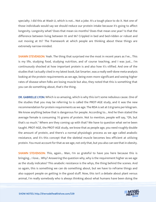specialty. I did this at Wash U, which is not... Not a joke. It's a tough place to do it. Not one of those individuals would say we should reduce our protein intake because it's going to affect longevity. Longevity what? Does that mean six months? Does that mean one year? Is that the difference between living between 95 and 96? Crippled in bed and bed-ridden or robust and out moving at 95? The framework at which people are thinking about these things are extremely narrow-minded.

SHAWN STEVENSON: Yeah. The thing that surprised me the most in recent years as I've... This is my life, studying food, studying nutrition, and of course teaching, and I was just... I'm continuously shocked at how important protein is and also how it's vilified. And one of the studies that I actually cited in my latest book, Eat Smarter, was a really well-done meta-analysis looking at the protein requirements as we age, being even more significant and seeing higher rates of disease when folks are losing muscle but also, they noted that this is something that you can do something about, that's the thing.

DR. GABRIELLE LYON: Which is so amazing, which is why this isn't some nebulous cause. One of the studies that you may be referring to is called the PROT-AGE study, and it was the new recommendation for protein requirements as we age. The RDA is set at 0.8 grams per kilogram. We know anything below that is dangerous for people. According to... And he then stated the average female is consuming 70 grams of protein. Not to mention, people will say, "Oh, but that's so much." Where are they coming up with that? We have to question what we've been taught. PROT-AGE, the PROT-AGE study, we know that as people age, you need roughly double the amount of protein, and there's a normal physiologic process as we age called anabolic resistance, and it's this concept that the skeletal muscle becomes less efficient at utilizing protein. You must account for that as we age, not only that, but you also can see that in obesity.

SHAWN STEVENSON: This, again... Man, I'm so grateful to have you here because this is bringing... I love... Why? Answering the question why, why is the requirement higher as we age as the study indicates? This anabolic resistance is the whys, the thing behind the scenes. And so again, this is something we can do something about, but we have to reframe things and also support people on getting in the good stuff. Now, this isn't a debate about plant versus animal, I'm really somebody who is always thinking about what humans have been doing the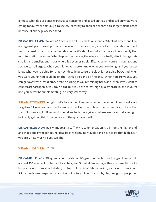longest, what do our genes expect us to consume, and based on that, and based on what we're eating today, we are actually as a society, contrary to popular belief, we are largely plant-based because of all the processed food.

DR. GABRIELLE LYON: We are 70% actually, 70%. Our diet is currently 70% plant-based, and I am not against plant-based proteins, this is not... Like you said, it's not a conversation of plant versus animal, what it is a conversation of, is it's about misinformation and how deadly that misinformation becomes. What happens as we age, the window to actually affect change gets smaller and smaller, and that's where it becomes so significant. When you're in your 20s and 30s, we can all argue. When you hit 40, you better know what you are doing, and you better know what you're doing for that next decade because the clock is not going back. And when you were young, you could be on the Twinkie diet and be fine and... When you are young, you can get away with less dietary protein as long as you're training hard, and listen, if you want to counteract sarcopenia, you train hard, but you have to eat high-quality protein, and if you're not, you better be supplementing in a very smart way.

SHAWN STEVENSON: Alright, let's talk about this, so what is the amount we ideally are targeting? Again, you are the foremost expert on this subject matter and also... So, within that... So, we've got... How much should we be targeting? And where are we actually going to be ideally getting this from because of the quality as well?

DR. GABRIELLE LYON: Really important stuff. My recommendation is a bit on the higher end, and that's one gram per pound ideal body weight. Individuals don't have to go that high. So, if you are... How much do you weigh?

#### SHAWN STEVENSON: 175-ish?

DR. GABRIELLE LYON: Okay, you could easily eat 175 grams of protein and be great. You could also eat 150 grams of protein and also be great. So, what I'm saying is there is some flexibility, but we have to think about dietary protein not just in a 24-hour period, we have to think about it in a meal-based experience and I'm going to explain to you why. So, one gram per pound

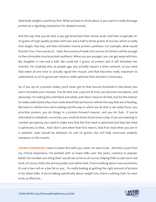ideal body weight is perfectly fine. What we have to think about is you want to really leverage protein as a signaling mechanism for skeletal muscle.

And the way that you do that is you get branched-chain amino acids. And that is typically 30- 50 grams of high-quality protein with two and a half to three grams of leucine, which is really that target, that key, will then stimulate muscle protein synthesis. For example, what would that be? Four, five ounces of... Yeah, five ounces of steak, five ounces of chicken, will be enough to then stimulate muscle protein synthesis. When you are younger, you can get away with less. My daughter is two and a half, she could eat 5 grams of protein and it will stimulate her muscles. For anybody else, as people age, you actually require a bolus amount, so you need that eaten at one time to actually signal the muscle, and that becomes really important to understand, so 30-50 grams per meal to really optimize that stimulus is necessary.

So, if you sip on a protein shake, you'll never get to that leucine threshold in the blood, you won't stimulate your muscles. You do that over a period of time, you become sarcopenic, and obviously, I'm making this a bit black and white, and I don't mean to do that, but for the listener to really understand, they must understand that we have to rethink the way that we're feeding. We have to rethink how we're eating and the way in which we do that is we really focus, you prioritize protein, you do things in a protein-forward manner, and you do that... If you're interested in metabolic correction, you could do those three times a day. If you are wanting to combat sarcopenia, you need to make sure that the first meal is optimized and that last meal is optimized, so that... And I don't care when that first meal is, that first meal when you are in a catabolic state should be between 40 and 50 grams, this will help overcome anabolic resistance in the muscle.

**SHAWN STEVENSON: I** want to share this with you, what I've seen to be... And this is just from my clinical experience, I've worked with so many folks over the years, contrary to popular belief, the number one thing that I would see as far as of course, helping folks to eat more real food, of course, that's the primary pillar, but within that, if we're talking about macronutrients, it's not a low carb or a low fat or any... I'm really looking at getting the right amount of protein in for these folks. If we're talking specifically about weight loss, there's nothing that I've seen to be as effective...

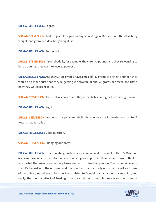#### DR. GABRIELLE LYON: I agree.

**SHAWN STEVENSON:** And it's just like again and again and again. But you said the ideal body weight, one gram per ideal body weight, so...

DR. GABRIELLE LYON: Per pound.

**SHAWN STEVENSON:** If somebody is, for example, they are 150 pounds and they're wanting to be 130 pounds, they want to lose 20 pounds...

DR. GABRIELLE LYON: And they... Yep, I would have a meal of 130 grams of protein and then they would also make sure that they're getting it between 30 and 50 grams per meal, and that's how they would break it up.

SHAWN STEVENSON: And so also, chances are they're probably eating half of that right now?

DR. GABRIELLE LYON: Right.

SHAWN STEVENSON: And what happens metabolically when we are increasing our protein? How is that actually...

DR. GABRIELLE LYON: Good question.

SHAWN STEVENSON: Changing our body?

DR. GABRIELLE LYON: It's interesting, protein is very unique and it's complex, there's 20 amino acids, we have nine essential amino acids. When you eat protein, there's this thermic effect of food. What that means is it actually takes energy to utilize that protein. The common belief is that it's to deal with the nitrogen and the urea but that's actually not what myself and some of my colleagues believe to be true. I was talking to Donald Layman about this morning, and really, the thermic effect of feeding, it actually relates to muscle protein synthesis, and it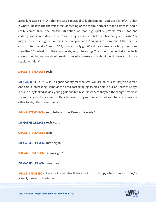actually relates to mTOR. That process is metabolically challenging, it utilizes a lot of ATP. That is where I believe the thermic effect of feeding or the thermic effect of food comes in. And it really comes from the muscle utilization of that high-quality protein versus fat and carbohydrates are... Maybe fat is 3% and maybe carbs are between five and yeah, maybe 5%, maybe it's a little higher. So, this idea that you eat 100 calories of steak, and if the thermic effect of food is I don't know, 20%, then you only get 80 calories 'cause your body is utilizing the other 20 to deal with the amino acids, very interesting. The other thing is that it protects skeletal muscle. We care about skeletal muscle because we care about metabolism and glucose regulation, right?

#### SHAWN STEVENSON: Yeah.

DR. GABRIELLE LYON: Also, it signals satiety mechanisms, you are much less likely to overeat. And this is interesting, some of the breakfast-skipping studies, this is out of Heather Leidy's lab, and they looked at kids, young girls and brain studies where they fed them high protein in the morning and they looked at their brain and they were much less driven to eat cupcakes or other foods, other sweet foods.

SHAWN STEVENSON: Yep, I believe it was Kansas University?

DR. GABRIELLE LYON: Yeah, yeah.

SHAWN STEVENSON: Yeah.

DR. GABRIELLE LYON: That's right.

SHAWN STEVENSON: I know, right?

DR. GABRIELLE LYON: I saw it, so...

SHAWN STEVENSON: Because I remember it because I was so happy when I saw that they're actually looking at the brain.

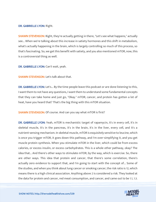#### DR. GABRIELLE LYON: Right.

**SHAWN STEVENSON:** Right, they're actually getting in there, "Let's see what happens," actually see... When we're talking about this increase in satiety hormones and this shift in metabolism, what's actually happening in the brain, which is largely controlling so much of this process, so that's fascinating. So, we get this benefit with satiety, and you also mentioned mTOR, now, this is a controversial thing as well.

DR. GABRIELLE LYON: Can't wait, yeah.

SHAWN STEVENSON: Let's talk about that.

DR. GABRIELLE LYON: Let's... By the time people leave this podcast or are done listening to this, I want them to not have any questions, I want them to understand some fundamental concepts that they can take home and just go, "Okay." mTOR, cancer, and protein has gotten a lot of heat, have you heard that? That's the big thing with this mTOR situation.

SHAWN STEVENSON: Of course. And can you say what mTOR is first?

DR. GABRIELLE LYON: Yeah, mTOR is mechanistic target of rapamycin, it's in every cell, it's in skeletal muscle, it's in the pancreas, it's in the brain, it's in the liver, every cell, and it's a nutrient-sensing mechanism. In skeletal muscle, mTOR is exquisitely sensitive to leucine, which is once you trigger mTOR, it goes down this pathway, and I'm over-simplifying it, and you get muscle protein synthesis. When you stimulate mTOR in the liver, which could be from excess calories, or excess insulin, or excess carbohydrates. This is a whole other pathway, okay? The idea that... And there's other ways to stimulate mTOR, by the way, which is exercise. So, there are other ways. This idea that protein and cancer, that there's some correlation, there's actually zero evidence to support that, and I'm going to start with the concept of... Some of the studies, and when you think about lung cancer or smoking cancer, the risk ratio is 12, which means there is a high clinical association. Anything above 2 is considered a risk. They looked at the data for protein and cancer, red meat consumption, and cancer, and came out to be 1.1, 1.3.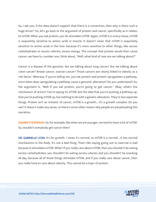So, I ask you, if the data doesn't support that there is a connection, then why is there such a huge driver? So, let's go back to the argument of protein and cancer, specifically as it relates to mTOR. When you eat protein, you do stimulate mTOR. Again, mTOR is in every tissue, mTOR is exquisitely sensitive to amino acids in muscle. It doesn't mean that mTOR is exquisitely sensitive to amino acids in the liver because it's more sensitive to other things, like excess carbohydrates or excess calories, excess energy. The concept that protein would then cause cancer, we have to, number one, think about, "Well, what kind of case are we talking about?"

Cancer is a disease of the genome. Are we talking about lung cancer? Are we talking about colon cancer? Breast cancer, ovarian cancer? Those cancers are clearly linked to obesity as a risk factor. Whereas, if you're telling me, you eat protein and protein upregulates a pathway, since when does upregulating a pathway cause a genomic alteration? Do you understand? So, the argument is, "Well if you eat protein, you're going to get cancer." Okay, what's the mechanism of action? You're saying its mTOR, but the idea that you're pushing a pathway up, that you're pushing mTOR up, has nothing to do with a genetic alteration. They're two separate things. Protein isn't an initiator of cancer, mTOR is a growth... It's a growth complex. Do you see? It doesn't make any sense, so there's some other reason why people are perpetuating this narrative.

SHAWN STEVENSON: So, for example, like when we are younger, we tend to have a lot of mTOR. So, wouldn't everybody get cancer then?

DR. GABRIELLE LYON: It's for growth. I mean it's normal, so mTOR is a normal... It has normal mechanisms in the body. It's not a bad thing. That's like saying going out to exercise is bad because it stimulates mTOR. What? If you really care about mTOR, then you shouldn't be eating excess carbohydrates, you shouldn't be eating excess calories and you shouldn't be snacking all day, because all of those things stimulate mTOR, and if you really care about cancer, then you really have to care about obesity. This cannot be a topic of protein.

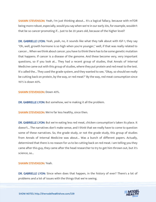SHAWN STEVENSON: Yeah, I'm just thinking about... It's a logical fallacy, because with mTOR being more robust, especially, would you say when we're in our early 20s, for example, wouldn't that be so cancer-promoting if... Just to be 20 years old, because of the higher level?

DR. GABRIELLE LYON: Yeah, yeah, no, it sounds like what they talk about with IGF-1, they say "Oh, well, growth hormone is so high when you're younger," well, if that was really related to cancer... When we think about cancer, you have to think there has to be some genetic mutation that happens. If cancer is a disease of the genome. And these become very, very important questions, so if you look at... They had a recent group of studies, that Annals of Internal Medicine came out with this group of studies, where they put protein and red meat to the test. It's called the... They used the grade system, and they wanted to see, "Okay, so should we really be cutting back on protein, by the way, or red meat?" By the way, red meat consumption since 1975 is down 40%.

SHAWN STEVENSON: Down 40%.

DR. GABRIELLE LYON: But somehow, we're making it all the problem.

**SHAWN STEVENSON:** We're far less healthy, since then.

DR. GABRIELLE LYON: But we're eating less red meat, chicken consumption's taken its place. It doesn't... The narratives don't make sense, and I think that we really have to come to question some of these narratives. So, the grade study, or not the grade study, this group of studies from Annals of Internal Medicine was about... Was a bunch of different papers. Actually, determined that there is no reason for us to be cutting back on red meat. I am telling you they came after this guy, they came after the head researcher to try to get him thrown out, but it's science, so...

#### SHAWN STEVENSON: Yeah.

DR. GABRIELLE LYON: Since when does that happen, in the history of ever? There's a lot of problems and a lot of issues with the things that we're seeing.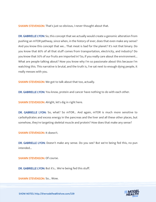**SHAWN STEVENSON:** That's just so obvious, I never thought about that.

DR. GABRIELLE LYON: So, this concept that we actually would create a genomic alteration from pushing an mTOR pathway, since when, in the history of ever, does that even make any sense? And you know this concept that we... That meat is bad for the planet? It's not that binary. Do you know that 80% of all that stuff comes from transportation, electricity, and industry? Do you know that 50% of our fruits are imported in? So, if you really care about the environment... What are people talking about? Now you know why I'm so passionate about this because I'm watching this. This narrative is brutal, and the truth is, I've sat next to enough dying people, it really messes with you.

**SHAWN STEVENSON:** We got to talk about that too, actually.

DR. GABRIELLE LYON: You know, protein and cancer have nothing to do with each other.

SHAWN STEVENSON: Alright, let's dig in right here.

DR. GABRIELLE LYON: So, what? So mTOR... And again, mTOR is much more sensitive to carbohydrates and excess energy in the pancreas and the liver and all these other places, but somehow, they're targeting skeletal muscle and protein? How does that make any sense?

SHAWN STEVENSON: It doesn't.

DR. GABRIELLE LYON: Doesn't make any sense. Do you see? But we're being fed this, no pun intended...

SHAWN STEVENSON: Of course.

DR. GABRIELLE LYON: But it's... We're being fed this stuff.

SHAWN STEVENSON: So... Wow.

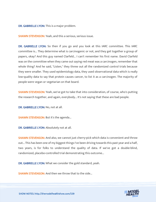DR. GABRIELLE LYON: This is a major problem.

**SHAWN STEVENSON:** Yeah, and this a serious, serious issue.

DR. GABRIELLE LYON: So then if you go and you look at this IARC committee. This IARC committee is... They determine what is carcinogenic or not, and they get together a group of papers, okay? And this guy named Clarfeld... I can't remember his first name. David Clarfeld was on the committee when they came out saying red meat was a carcinogen, remember that whole thing? And he said, "Listen," they threw out all the randomized control trials because they were smaller. They used epidemiology data, they used observational data which is really low-quality data to say that protein causes cancer, to list it as a carcinogen. The majority of people were vegan or vegetarian on that board.

**SHAWN STEVENSON:** Yeah, we've got to take that into consideration, of course, who's putting the research together, and again, everybody... It's not saying that these are bad people.

DR. GABRIELLE LYON: No, not at all.

SHAWN STEVENSON: But it's the agenda...

DR. GABRIELLE LYON: Absolutely not at all.

**SHAWN STEVENSON:** And also, we cannot just cherry-pick which data is convenient and throw out... This has been one of my biggest things I've been driving towards this past year and a half, two years, is for folks to understand the quality of data. If we've got a double-blind, randomized, placebo-controlled trial demonstrating this outcome...

DR. GABRIELLE LYON: What we consider the gold standard, yeah.

SHAWN STEVENSON: And then we throw that to the side...

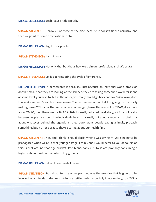DR. GABRIELLE LYON: Yeah, 'cause it doesn't fit...

SHAWN STEVENSON: Throw 20 of those to the side, because it doesn't fit the narrative and then we point to some observational data.

DR. GABRIELLE LYON: Right. It's a problem.

SHAWN STEVENSON: It's not okay.

DR. GABRIELLE LYON: Not only that but that's how we train our professionals, that's brutal.

SHAWN STEVENSON: So, it's perpetuating the cycle of ignorance.

DR. GABRIELLE LYON: It perpetuates it because... Just because an individual was a physician doesn't mean that they are looking at the science, they are taking someone's word for it and at some level, you have to, but at the other, you really should go back and say, "Man, okay, does this make sense? Does this make sense? The recommendation that I'm giving, is it actually making sense?" This idea that red meat is a carcinogen, how? The concept of TMAO, if you care about TMAO, then there's more TMAO in fish. It's really not a red meat story, is it? It's not really, because people care about the individual's health. It's really not about cancer and protein, it's about whatever behind the agenda is, they don't want people eating animals, probably something, but it's not because they're caring about our health first.

SHAWN STEVENSON: Yes, and I think I should clarify when I was saying mTOR is going to be propagated when we're in that younger stage, I think, and I would defer to you of course on this, is that around that age bracket, late teens, early 20s, folks are probably consuming a higher ratio of protein than when they get older...

DR. GABRIELLE LYON: I don't know. Yeah, I mean...

**SHAWN STEVENSON:** But also... But the other part two was the exercise that is going to be involved which tends to decline as folks are getting older, especially in our society, so mTOR is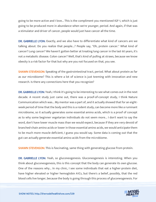going to be more active and I love... This is the compliment you mentioned IGF-1, which is just going to be produced more in abundance when we're younger, period. And again, if that was a stimulator and driver of cancer, people would just have cancer all the time.

DR. GABRIELLE LYON: Exactly, and we also have to differentiate what kind of cancers are we talking about. Do you realize that people...? People say, "Oh, protein cancer." What kind of cancer? Lung cancer? We haven't gotten better at treating lung cancer in the last 60 years, it's not a metabolic disease. Colon cancer? Well, that's kind of pulling at straws, because we know obesity is a risk factor for that but why are you not focused on that, you see.

**SHAWN STEVENSON:** Speaking of the gastrointestinal tract, period. What about protein as far as our microbiome? This is where a lot of science is just teeming with innovation and new research. Is there any connections here that you recognize?

DR. GABRIELLE LYON: Yeah, I think it's going to be interesting to see what comes out in the next decade. A recent study just came out, there was a proof-of-concept study, I think Nature Communication which was... My mentor was a part of, and it actually showed that for an eightweek period of time that the body and this is a rodent study, can become more like a ruminant microbiome, so it actually generates some essential amino acids, which is a proof of concept as to why some beginner vegetarian individuals do not seem more... I don't want to say the word, don't have lower muscle mass than we would expect, because if they are very devoid of branched-chain amino acids or lower in those essential amino acids, we would anticipate them to be much more muscle deficient, I guess you would say. Some data is coming out that the gut can actually generate essential amino acids from the microbiome.

**SHAWN STEVENSON:** This is fascinating, same thing with generating glucose from protein.

DR. GABRIELLE LYON: Yeah, so gluconeogenesis. Gluconeogenesis is interesting. When you think about gluconeogenesis, this is this concept that the body can generate its own glucose. One of the reasons why... In my clinic, I see some individuals that eat a higher-protein diet, have higher elevated or higher hemoglobin A1Cs, but there's a belief, possibly, that the red blood cells live longer, because the body is going through this process of gluconeogenesis. For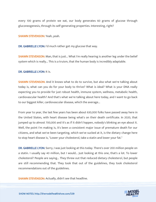every 100 grams of protein we eat, our body generates 60 grams of glucose through gluconeogenesis, through its self-generating properties. Interesting, right?

SHAWN STEVENSON: Yeah, yeah.

DR. GABRIELLE LYON: I'd much rather get my glucose that way.

**SHAWN STEVENSON:** Man, that is just... What I'm really hearing is another leg under the belief system which is really... This is a truism, that the human body is incredibly adaptable.

#### DR. GABRIELLE LYON: It is.

**SHAWN STEVENSON:** And it knows what to do to survive, but also what we're talking about today is, what can you do for your body to thrive? What is ideal? What is your DNA really expecting you to provide for just robust health, immune system, wellness, metabolic health, cardiovascular health? And that's what we're talking about here today, and I want to go back to our biggest killer, cardiovascular disease, which the average...

From year to year, the last few years has been about 630,000 folks have passed away here in the United States, with heart disease being what's on their death certificate. In 2020, that jumped up to almost 700,000 and it's as if it didn't happen, nobody's blinking an eye about it. Well, the point I'm making is, it's been a consistent major issue of premature death for our citizens, and what we've been targeting, which we've sucked at it, is the dietary change here to stop heart disease is, "Lower your cholesterol, take a statin and lower your fat."

DR. GABRIELLE LYON: Sorry, I was just looking at this today. There's over 200 million people on a statin. I usually say 40 million, but I would... Just looking at this one, that's a lot. To lower cholesterol? People are saying... They threw out that reduced dietary cholesterol, but people are still recommending that. They took that out of the guidelines, they took cholesterol recommendations out of the guidelines.

SHAWN STEVENSON: Actually, didn't see that headline.

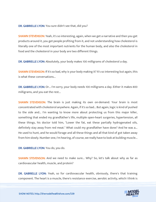#### DR. GABRIELLE LYON: You sure didn't see that, did you?

**SHAWN STEVENSON:** Yeah, it's so interesting, again, when we get a narrative and then you get products around it, you get people profiting from it, and not understanding how cholesterol is literally one of the most important nutrients for the human body, and also the cholesterol in food and the cholesterol in your body are two different things.

DR. GABRIELLE LYON: Absolutely, your body makes 100 milligrams of cholesterol a day.

SHAWN STEVENSON: If it's so bad, why is your body making it? It's so interesting but again, this is what these conversations...

DR. GABRIELLE LYON: Or... I'm sorry, your body needs 100 milligrams a day. Either it makes 800 milligrams, and you eat the rest...

**SHAWN STEVENSON:** The brain is just making its own on-demand. Your brain is most concentrated with cholesterol anywhere. Again, if it's so bad... But again, logic is kind of pushed to the side and... I'm wanting to know more about protecting us from this major killer, something that ended my grandfather's life, multiple open-heart surgeries, hypertension, all these things, his doctor told him, "Lower the fat, eat these partially hydrogenated oils, definitely stay away from red meat." What could my grandfather have done? And he was a... He used to hunt, and he would forage and all these things and all that kind of got taken away from him slowly. Number one, I'm hearing, of course, we really have to look at building muscle...

#### DR. GABRIELLE LYON: You do, you do.

SHAWN STEVENSON: And we need to make sure... Why? So, let's talk about why as far as cardiovascular health, muscle, and protein?

DR. GABRIELLE LYON: Yeah, so for cardiovascular health, obviously, there's that training component. The heart is a muscle, there's resistance exercise, aerobic activity, which I think is

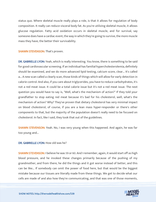status quo. Where skeletal muscle really plays a role, is that it allows for regulation of body composition. It really can reduce visceral body fat. As you're utilizing skeletal muscle, it allows glucose regulation. Fatty acid oxidation occurs in skeletal muscle, and for survival, say someone does have a cardiac event, the way in which they're going to survive, the more muscle mass they have, the better their survivability.

SHAWN STEVENSON: That's proven.

DR. GABRIELLE LYON: Yeah, which is really interesting. You know, there is something to be said for good cardiovascular screening. If an individual has familial hypercholesterolemia, definitely should be examined, and we do more advanced lipid testing, calcium score, clear... It's called a... A new scan called a clearly scan, those kinds of things which will allow for early detection in calorie control. And also, if you care about triglycerides, you have to reduce carbohydrates, it's not a red meat issue. It could be a total calorie issue but it's not a red meat issue. The next question you would have to say is, "Well, what's the mechanism of action?" If they told your grandfather to stop eating red meat because it's bad for his cholesterol, well, what's the mechanism of action? Why? They've proven that dietary cholesterol has very minimal impact on blood cholesterol, of course, if you are a lean mass hyper-responder or there's other components to that, but the majority of the population doesn't really need to be focused on cholesterol. In fact, like I said, they took that out of the guidelines.

SHAWN STEVENSON: Yeah. No, I was very young when this happened. And again, he was far too young and...

#### DR. GABRIELLE LYON: How old was he?

SHAWN STEVENSON: I believe he was 59 or 60. And I remember, again, it would start off as high blood pressure, and he invoked these changes primarily because of the pushing of my grandmother, and from there, he did the things and it got worse instead of better, and this can be like... If somebody can omit the power of food here, but that would be the biggest mistake because our tissues are literally made from these things. We get to decide what our cells are made of and also how they're communicating, and that was one of those moments,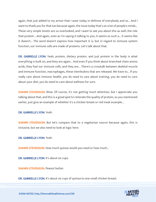again, that just added to my armor that I wear today in defense of everybody and so... And I want to thank you for that too because again, the issue today that's on a lot of people's minds... These very simple tenets are so overlooked, and I want to ask you about this as well, the role that protein... And again, even as I'm saying it talking to you, it seems so such a... It seems like it doesn't... The word doesn't express how important it is, but in regard to immune system function, our immune cells are made of proteins. Let's talk about that.

DR. GABRIELLE LYON: Yeah, protein, dietary protein, and just protein in the body is what everything is built on, and they are again... And even if you think about branched-chain amino acids, they fuel our immune cells, and they are... There's a crosstalk between skeletal muscle and immune function, macrophages, these interleukins that are released. We have to... If you really care about immune health, you do need to care about training, you do need to care about your diet, you do need to care about wellness for sure.

SHAWN STEVENSON: Wow. Of course, it's not getting much attention, but I appreciate you talking about that, and this is a good spot to reiterate the quality of protein, so you mentioned earlier, just give an example of whether it's a chicken breast or red meat example...

#### DR. GABRIELLE LYON: Yeah.

**SHAWN STEVENSON:** But let's compare that to a vegetarian source because again, this is inclusive, but we also need to look at logic here.

DR. GABRIELLE LYON: Yeah.

**SHAWN STEVENSON:** How much quinoa would you need or how much...

DR. GABRIELLE LYON: It's about six cups.

SHAWN STEVENSON: Peanut butter.

DR. GABRIELLE LYON: It's about six cups of quinoa to one small chicken breast.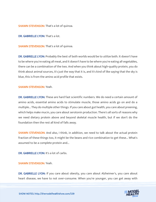**SHAWN STEVENSON: That's a lot of quinoa.** 

DR. GABRIELLE LYON: That's a lot.

SHAWN STEVENSON: That's a lot of quinoa.

DR. GABRIELLE LYON: Probably the best of both worlds would be to utilize both. It doesn't have to be where you're eating all meat, and it doesn't have to be where you're eating all vegetables, there can be a combination of the two. And when you think about high-quality protein, you do think about animal sources, it's just the way that it is, and it's kind of like saying that the sky is blue, this is from the amino acid profile that exists.

#### SHAWN STEVENSON: Yeah.

DR. GABRIELLE LYON: These are hard fast scientific numbers. We do need a certain amount of amino acids, essential amino acids to stimulate muscle, those amino acids go on and do a multiple... They do multiple other things. If you care about gut health, you care about preening, which helps make mucin, you care about serotonin production. There's all sorts of reasons why we need dietary protein above and beyond skeletal muscle health, but if we don't do the foundation then the rest all kind of falls away.

**SHAWN STEVENSON:** And also, I think, in addition, we need to talk about the actual protein fraction of these things too, it might be the beans and rice combination to get these... What's assumed to be a complete protein and...

DR. GABRIELLE LYON: It's a lot of carbs.

#### SHAWN STEVENSON: Yeah.

DR. GABRIELLE LYON: If you care about obesity, you care about Alzheimer's, you care about heart disease, we have to not over-consume. When you're younger, you can get away with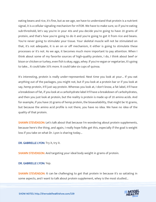eating beans and rice, it's fine, but as we age, we have to understand that protein is a nutrient signal, it is a cellular signaling mechanism for mTOR. We have to make sure, so if you're eating sub-threshold, let's say you're in your 40s and you decide you're going to have 20 grams of protein, and that's how you're going to do it and you're going to get it from rice and beans. You're never going to stimulate your tissue. Your skeletal muscle will not be stimulated on that, it's not adequate, it is an on or off mechanism, it either is going to stimulate these processes or it's not. As we age, it becomes much more important to pay attention. When I think about some of my favorite sources of high-quality protein, I do, I think about beef or bison or chicken or turkey, even fish is okay, eggs, whey. If you're vegan or vegetarian, it's going to take... It could take 35% more. It could take six cups of quinoa.

It's interesting, protein is really under-represented. Next time you look at your... If you eat anything out of the packages, you might not, but if you look at a protein bar or if you look at say, hemp protein, it'll just say protein. Whereas you look at, I don't know, a fat label, it'll have a breakdown of fat, if you look at a carbohydrate label it'll have a breakdown of carbohydrates, and then you just look at protein, but the reality is protein is made up of 20 amino acids. And for example, if you have 20 grams of hemp protein, the bioavailability, that might be 10 grams, but because the amino acid profile is not there, you have no idea. We have no idea of the quality of that protein.

SHAWN STEVENSON: Let's talk about that because I'm wondering about protein supplements, because here's the thing, and again, I really hope folks get this, especially if the goal is weight loss if you take on what Dr. Lyon is sharing today...

DR. GABRIELLE LYON: Try it, try it.

**SHAWN STEVENSON:** And targeting your ideal body weight in grams of protein.

DR. GABRIELLE LYON: Yep.

**SHAWN STEVENSON:** It can be challenging to get that protein in because it's so satiating in some aspects, and I want to talk about protein supplement, whey is the most studied...

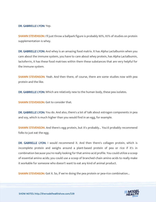#### DR. GABRIELLE LYON: Yep.

**SHAWN STEVENSON:** I'll just throw a ballpark figure is probably 90%, 95% of studies on protein supplementation is whey.

DR. GABRIELLE LYON: And whey is an amazing food matrix. It has Alpha Lactalbumin when you care about the immune system, you have to care about whey protein, has Alpha Lactalbumin, lactoferrin, it has these food matrixes within them these substances that are very helpful for the immune system.

SHAWN STEVENSON: Yeah. And then there, of course, there are some studies now with pea protein and the like.

DR. GABRIELLE LYON: Which are relatively new to the human body, these pea isolates.

**SHAWN STEVENSON:** Got to consider that.

DR. GABRIELLE LYON: You do. And also, there's a lot of talk about estrogen components in pea and soy, which is much higher than you would find in an egg, for example.

SHAWN STEVENSON: And there's egg protein, but it's probably... You'd probably recommend folks to just eat the egg.

DR. GABRIELLE LYON: I would recommend it. And then there's collagen protein, which is incomplete protein and weighs around a plant-based protein of pea or rice if it's in combination because you're really looking for that amino acid profile. You could utilize a scoop of essential amino acids; you could use a scoop of branched-chain amino acids to really make it workable for someone who doesn't want to eat any kind of animal product.

**SHAWN STEVENSON:** Got it. So, if we're doing the pea protein or pea-rice combination...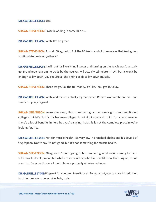DR. GABRIELLE LYON: Yep.

SHAWN STEVENSON: Protein, adding in some BCAAs...

DR. GABRIELLE LYON: Yeah. It'd be great.

**SHAWN STEVENSON:** As well. Okay, got it. But the BCAAs in and of themselves that isn't going to stimulate protein synthesis?

DR. GABRIELLE LYON: It will, but it's like sitting in a car and turning on the key, it won't actually go. Branched-chain amino acids by themselves will actually stimulate mTOR, but it won't be enough to lay down, you require all the amino acids to lay down muscle.

**SHAWN STEVENSON:** There we go. So, the full Monty. It's like, "You got it," okay.

DR. GABRIELLE LYON: Yeah, and there's actually a great paper, Robert Wolf wrote on this. I can send it to you, it's great.

SHAWN STEVENSON: Awesome, yeah, this is fascinating, and so we've got... You mentioned collagen but let's clarify this because collagen is hot right now and I think for a good reason, there's a lot of benefits in here but you're saying that this is not the complete protein we're looking for. It's...

DR. GABRIELLE LYON: Not for muscle health. It's very low in branched-chains and it's devoid of tryptophan. Not to say it's not good, but it's not something for muscle health.

**SHAWN STEVENSON:** Okay, so we're not going to be stimulating what we're looking for here with muscle development, but what are some other potential benefits here that... Again, I don't want to... Because I know a lot of folks are probably utilizing collagen.

DR. GABRIELLE LYON: It's great for your gut. I use it. Use it for your gut, you can use it in addition to other protein sources, skin, hair, nails.

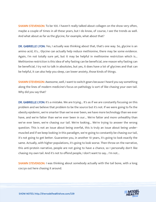SHAWN STEVENSON: To be 100. I haven't really talked about collagen on the show very often, maybe a couple of times in all these years, but I do know, of course, I see the trends as well. And what about as far as the glycine, for example, what about that?

DR. GABRIELLE LYON: Yes, I actually was thinking about that, that's one way. So, glycine is an amino acid, it's... Glycine can actually help reduce methionine, there may be some evidence. Again, I'm not totally sure yet, but it may be helpful in methionine restriction which is... Methionine restriction is this idea of why fasting can be beneficial, one reason why fasting can be beneficial, I try not to talk in absolutes, but yes, it does have a lot of glycines and that can be helpful, it can also help you sleep, can lower anxiety, those kinds of things.

**SHAWN STEVENSON:** Awesome, well, I want to switch gears because I heard you say something along the lines of modern medicine's focus on pathology is sort of like chasing your own tail. Why did you say that?

DR. GABRIELLE LYON: It's a mistake. We are trying... It's as if we are constantly focusing on this problem and we believe that problem to be the source but it's not. If we were going to fix the obesity epidemic, we're smarter than we've ever been, we have more technology than we ever have, and we're fatter than we've ever been in our... We're fatter and more unhealthy than we've ever been, we're chasing our tail. We're looking... We're trying to answer the wrong question. This is not an issue about being overfat, this is truly an issue about being undermuscled and if we keep looking in this paradigm, we're going to constantly be chasing our tail, it's not going to get better. Guarantee you, in another 10 years, it's going to look exactly the same. Actually, with higher populations, it's going to look worse. Then throw on the narrative, this anti-protein narrative, people are not going to have a chance, so I personally don't like chasing my own tail. And it's not to offend people, I don't want to say... I'm not...

**SHAWN STEVENSON: I** was thinking about somebody actually with the tail bone, with a long coccyx out here chasing it around.

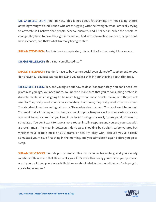DR. GABRIELLE LYON: And I'm not... This is not about fat-shaming, I'm not saying there's anything wrong with individuals who are struggling with their weight, what I am really trying to advocate is I believe that people deserve answers, and I believe in order for people to change, they have to have the right information. And with information overload, people don't have a chance, and that's what I'm really trying to shift.

**SHAWN STEVENSON:** And this is not complicated, this isn't like for that weight loss access...

DR. GABRIELLE LYON: This is not complicated stuff.

SHAWN STEVENSON: You don't have to buy some special Lyon signed-off supplement, or you don't have to... You just eat real food, and you take a shift in your thinking about that food.

DR. GABRIELLE LYON: Yep, and you figure out how to dose it appropriately. You don't need less protein as you age, you need more. You need to make sure that you're consuming protein in discrete meals, which is going to be much bigger than most people realize, and they're not used to. They really need to work on stimulating their tissue, they really need to be consistent. The standard American eating pattern is, "Have a big steak dinner." You don't want to do that. You want to start the day with protein, you want to prioritize protein. If you eat carbohydrates, you want to make sure that you keep it under 30 to 40 grams easily 'cause you don't want to stimulate... You don't want to have a more robust insulin response and you end your day with a protein meal. The meal in between, I don't care. Shouldn't be straight carbohydrates but whether your protein meal hits 30 grams or not, I'm okay with, because you've already stimulated your tissue first thing in the morning, and you stimulate it again before you go to sleep.

SHAWN STEVENSON: Sounds pretty simple. This has been so fascinating, and you already mentioned this earlier, that this is really your life's work, this is why you're here, your purpose, and if you could, can you share a little bit more about what is the model that you're hoping to create for everyone?

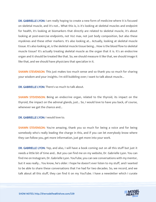DR. GABRIELLE LYON: I am really hoping to create a new form of medicine where it is focused on skeletal muscle, and it's not... What this is, is it's looking at skeletal muscles and endpoint for health, it's looking at biomarkers that directly are related to skeletal muscle, it's about looking at post-exercise endpoints, not Vo2 max, not just body composition, but also these myokines and these other markers. It's also looking at... Actually, looking at skeletal muscle tissue. It's also looking at, is the skeletal muscle tissue being... How is the blood flow to skeletal muscle tissue? It's actually treating skeletal muscle as the organ that it is. It's an endocrine organ and it should be treated like that. So, we should measure it like that, we should image it like that, and we should have physicians that specialize in it.

**SHAWN STEVENSON:** This just makes too much sense and so thank you so much for sharing your wisdom and your insights. I'm still bubbling over; I want to talk about muscle...

DR. GABRIELLE LYON: There's so much to talk about.

**SHAWN STEVENSON:** Being an endocrine organ, related to the thyroid, its impact on the thyroid, the impact on the adrenal glands, just... So, I would love to have you back, of course, whenever we get the chance and...

DR. GABRIELLE LYON: I would love to.

SHAWN STEVENSON: You're amazing, thank you so much for being a voice and for being somebody who's really leading the charge in this, and if you can let everybody know where they can follow you, get more information, just get more into your work.

DR. GABRIELLE LYON: Yep, and also, I will have a book coming out on all this stuff but just it needs a little bit of time and... But you can find me on my website, Dr. Gabrielle Lyon. You can find me on Instagram, Dr. Gabrielle Lyon. YouTube, you can see conversations with my mentor, but it was really... You know, he's older. I hope he doesn't ever listen to my stuff, and I wanted to be able to share these conversations that I've had for two decades. So, we record, and we talk about all this stuff, they can find it on my YouTube. I have a newsletter which I curate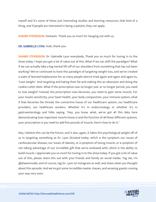myself and it's some of these just interesting studies and learning resources, that kind of a thing, and if people are interested in being a patient, they can apply.

**SHAWN STEVENSON: Fantastic. Thank you so much for hanging out with us.** 

DR. GABRIELLE LYON: Yeah, thank you.

SHAWN STEVENSON: Dr. Gabrielle Lyon everybody. Thank you so much for tuning in to the show today. I hope you got a lot of value out of this. What if we can shift the paradigm? What if we can actually take a big mental lift-off of our shoulders from something that has not been working? We've continued to have this paradigm of targeting weight loss, and we've created a state of learned helplessness for so many people who've tried again and again and again to, "Lose weight." And targeting and hating their fat and making this an obsession and doing the cookie-cutter diets. What if the prescription was no longer just, or no longer period, you need to lose weight? Instead, the prescription now becomes, you need to gain some muscle. For your insulin sensitivity, your heart health, your body composition, your immune system, what if that becomes the thread, the connective tissue of our healthcare system, our healthcare providers, our healthcare workers. Whether it's in endocrinology or whether it's in gastroenterology and folks saying, "Hey, you know what, we've got all this data here demonstrating how important muscle tissue is and the function of all these different systems, your prescription is you need to add five pounds of muscle, here's how to do it."

Hey, I believe this can be the future, and it also, again, it takes this psychological weight off of us in targeting something as Dr. Lyon dictated today, which is the symptom our issues of cardiovascular disease, our issues of obesity, or a symptom of losing muscle, or a symptom of not taking advantage of our incredible gift that we're endowed with, which is the ability to build muscle. I appreciate you so much for tuning in to the show today. If you got a lot of value out of this, please share this out with your friends and family on social media. Tag me, I'm @shawnmodel, and of course, tag Dr. Lyon on Instagram as well, and share what you thought about this episode. And we've got some incredible master classes, and amazing guests coming your way very soon.